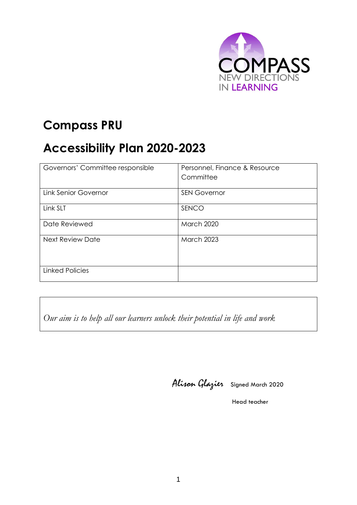

## **Compass PRU**

# **Accessibility Plan 2020-2023**

| Governors' Committee responsible | Personnel, Finance & Resource<br>Committee |  |
|----------------------------------|--------------------------------------------|--|
| <b>Link Senior Governor</b>      | <b>SEN Governor</b>                        |  |
|                                  |                                            |  |
| Link SLT                         | SENCO                                      |  |
| Date Reviewed                    | March 2020                                 |  |
| <b>Next Review Date</b>          | <b>March 2023</b>                          |  |
| <b>Linked Policies</b>           |                                            |  |

*Our aim is to help all our learners unlock their potential in life and work*

Alison Glazier Signed March <sup>2020</sup>

Head teacher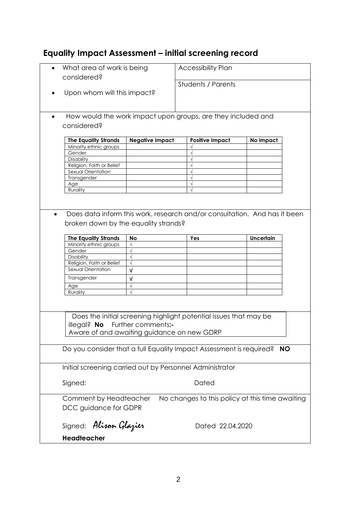## **Equality Impact Assessment – initial screening record**

| What area of work is being<br>considered?                                              |                                                                                  | <b>Accessibility Plan</b> |                           |  |  |
|----------------------------------------------------------------------------------------|----------------------------------------------------------------------------------|---------------------------|---------------------------|--|--|
|                                                                                        |                                                                                  |                           | <b>Students / Parents</b> |  |  |
|                                                                                        | Upon whom will this impact?                                                      |                           |                           |  |  |
| $\bullet$                                                                              | How would the work impact upon groups, are they included and                     |                           |                           |  |  |
| considered?                                                                            |                                                                                  |                           |                           |  |  |
| <b>The Equality Strands</b>                                                            | <b>Negative Impact</b>                                                           | <b>Positive Impact</b>    | No impact                 |  |  |
| Minority ethnic groups                                                                 |                                                                                  |                           |                           |  |  |
| Gender                                                                                 |                                                                                  |                           |                           |  |  |
| Disability                                                                             |                                                                                  |                           |                           |  |  |
| Religion, Faith or Belief                                                              |                                                                                  |                           |                           |  |  |
| Sexual Orientation                                                                     |                                                                                  |                           |                           |  |  |
| Transgender                                                                            |                                                                                  |                           |                           |  |  |
|                                                                                        |                                                                                  |                           |                           |  |  |
| Age                                                                                    |                                                                                  |                           |                           |  |  |
| Rurality                                                                               |                                                                                  |                           |                           |  |  |
|                                                                                        |                                                                                  |                           |                           |  |  |
| Does data inform this work, research and/or consultation. And has it been<br>$\bullet$ |                                                                                  |                           |                           |  |  |
| broken down by the equality strands?                                                   |                                                                                  |                           |                           |  |  |
| <b>The Equality Strands</b>                                                            | <b>No</b>                                                                        | Yes                       | <b>Uncertain</b>          |  |  |
| Minority ethnic groups                                                                 | $\sqrt{}$                                                                        |                           |                           |  |  |
| Gender                                                                                 | $\sqrt{ }$                                                                       |                           |                           |  |  |
| Disability                                                                             |                                                                                  |                           |                           |  |  |
| Religion, Faith or Belief                                                              | $\sqrt{}$                                                                        |                           |                           |  |  |
| Sexual Orientation                                                                     |                                                                                  |                           |                           |  |  |
|                                                                                        | $\sqrt{ }$                                                                       |                           |                           |  |  |
| Transgender                                                                            | V                                                                                |                           |                           |  |  |
| Age                                                                                    | $\sqrt{}$                                                                        |                           |                           |  |  |
| Rurality                                                                               | $\sqrt{}$                                                                        |                           |                           |  |  |
|                                                                                        |                                                                                  |                           |                           |  |  |
|                                                                                        |                                                                                  |                           |                           |  |  |
| Does the initial screening highlight potential issues that may be                      |                                                                                  |                           |                           |  |  |
| illegal? No Further comments:-                                                         |                                                                                  |                           |                           |  |  |
| Aware of and awaiting guidance on new GDRP                                             |                                                                                  |                           |                           |  |  |
|                                                                                        |                                                                                  |                           |                           |  |  |
|                                                                                        | Do you consider that a full Equality Impact Assessment is required?<br><b>NO</b> |                           |                           |  |  |
| Initial screening carried out by Personnel Administrator                               |                                                                                  |                           |                           |  |  |
|                                                                                        |                                                                                  |                           |                           |  |  |
| Signed:                                                                                |                                                                                  | Dated                     |                           |  |  |
|                                                                                        | No changes to this policy at this time awaiting<br>Comment by Headteacher        |                           |                           |  |  |
| DCC guidance for GDPR                                                                  |                                                                                  |                           |                           |  |  |
| Signed: Alison Glazier                                                                 |                                                                                  | Dated 22.04.2020          |                           |  |  |
| <b>Headteacher</b>                                                                     |                                                                                  |                           |                           |  |  |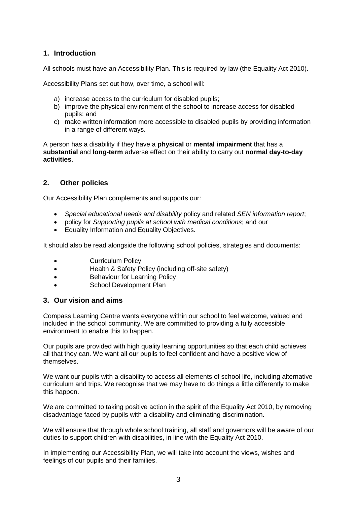## **1. Introduction**

All schools must have an Accessibility Plan. This is required by law (the Equality Act 2010).

Accessibility Plans set out how, over time, a school will:

- a) increase access to the curriculum for disabled pupils;
- b) improve the physical environment of the school to increase access for disabled pupils; and
- c) make written information more accessible to disabled pupils by providing information in a range of different ways.

A person has a disability if they have a **physical** or **mental impairment** that has a **substantial** and **long-term** adverse effect on their ability to carry out **normal day-to-day activities**.

## **2. Other policies**

Our Accessibility Plan complements and supports our:

- *Special educational needs and disability* policy and related *SEN information report*;
- policy for *Supporting pupils at school with medical conditions*; and our
- Equality Information and Equality Objectives.

It should also be read alongside the following school policies, strategies and documents:

- Curriculum Policy
- Health & Safety Policy (including off-site safety)
- Behaviour for Learning Policy
- School Development Plan

### **3. Our vision and aims**

Compass Learning Centre wants everyone within our school to feel welcome, valued and included in the school community. We are committed to providing a fully accessible environment to enable this to happen.

Our pupils are provided with high quality learning opportunities so that each child achieves all that they can. We want all our pupils to feel confident and have a positive view of themselves.

We want our pupils with a disability to access all elements of school life, including alternative curriculum and trips. We recognise that we may have to do things a little differently to make this happen.

We are committed to taking positive action in the spirit of the Equality Act 2010, by removing disadvantage faced by pupils with a disability and eliminating discrimination.

We will ensure that through whole school training, all staff and governors will be aware of our duties to support children with disabilities, in line with the Equality Act 2010.

In implementing our Accessibility Plan, we will take into account the views, wishes and feelings of our pupils and their families.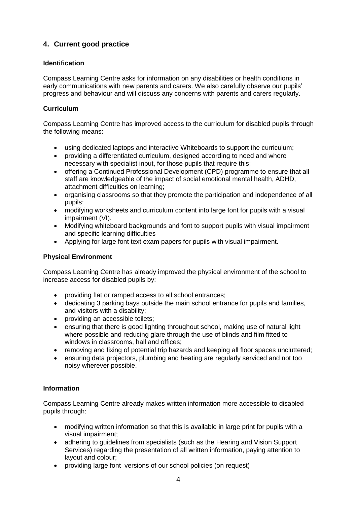## **4. Current good practice**

## **Identification**

Compass Learning Centre asks for information on any disabilities or health conditions in early communications with new parents and carers. We also carefully observe our pupils' progress and behaviour and will discuss any concerns with parents and carers regularly.

## **Curriculum**

Compass Learning Centre has improved access to the curriculum for disabled pupils through the following means:

- using dedicated laptops and interactive Whiteboards to support the curriculum;
- providing a differentiated curriculum, designed according to need and where necessary with specialist input, for those pupils that require this;
- offering a Continued Professional Development (CPD) programme to ensure that all staff are knowledgeable of the impact of social emotional mental health, ADHD, attachment difficulties on learning;
- organising classrooms so that they promote the participation and independence of all pupils;
- modifying worksheets and curriculum content into large font for pupils with a visual impairment (VI).
- Modifying whiteboard backgrounds and font to support pupils with visual impairment and specific learning difficulties
- Applying for large font text exam papers for pupils with visual impairment.

## **Physical Environment**

Compass Learning Centre has already improved the physical environment of the school to increase access for disabled pupils by:

- providing flat or ramped access to all school entrances;
- dedicating 3 parking bays outside the main school entrance for pupils and families, and visitors with a disability;
- providing an accessible toilets:
- ensuring that there is good lighting throughout school, making use of natural light where possible and reducing glare through the use of blinds and film fitted to windows in classrooms, hall and offices;
- removing and fixing of potential trip hazards and keeping all floor spaces uncluttered;
- ensuring data projectors, plumbing and heating are regularly serviced and not too noisy wherever possible.

#### **Information**

Compass Learning Centre already makes written information more accessible to disabled pupils through:

- modifying written information so that this is available in large print for pupils with a visual impairment;
- adhering to guidelines from specialists (such as the Hearing and Vision Support Services) regarding the presentation of all written information, paying attention to layout and colour;
- providing large font versions of our school policies (on request)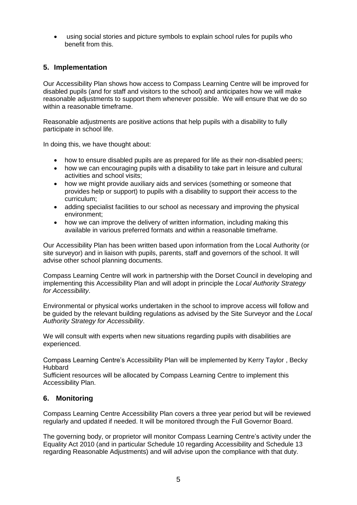using social stories and picture symbols to explain school rules for pupils who benefit from this.

## **5. Implementation**

Our Accessibility Plan shows how access to Compass Learning Centre will be improved for disabled pupils (and for staff and visitors to the school) and anticipates how we will make reasonable adjustments to support them whenever possible. We will ensure that we do so within a reasonable timeframe.

Reasonable adjustments are positive actions that help pupils with a disability to fully participate in school life.

In doing this, we have thought about:

- how to ensure disabled pupils are as prepared for life as their non-disabled peers;
- how we can encouraging pupils with a disability to take part in leisure and cultural activities and school visits;
- how we might provide auxiliary aids and services (something or someone that provides help or support) to pupils with a disability to support their access to the curriculum;
- adding specialist facilities to our school as necessary and improving the physical environment;
- how we can improve the delivery of written information, including making this available in various preferred formats and within a reasonable timeframe.

Our Accessibility Plan has been written based upon information from the Local Authority (or site surveyor) and in liaison with pupils, parents, staff and governors of the school. It will advise other school planning documents.

Compass Learning Centre will work in partnership with the Dorset Council in developing and implementing this Accessibility Plan and will adopt in principle the *Local Authority Strategy for Accessibility*.

Environmental or physical works undertaken in the school to improve access will follow and be guided by the relevant building regulations as advised by the Site Surveyor and the *Local Authority Strategy for Accessibility*.

We will consult with experts when new situations regarding pupils with disabilities are experienced.

Compass Learning Centre's Accessibility Plan will be implemented by Kerry Taylor , Becky **Hubbard** 

Sufficient resources will be allocated by Compass Learning Centre to implement this Accessibility Plan.

## **6. Monitoring**

Compass Learning Centre Accessibility Plan covers a three year period but will be reviewed regularly and updated if needed. It will be monitored through the Full Governor Board.

The governing body, or proprietor will monitor Compass Learning Centre's activity under the Equality Act 2010 (and in particular Schedule 10 regarding Accessibility and Schedule 13 regarding Reasonable Adjustments) and will advise upon the compliance with that duty.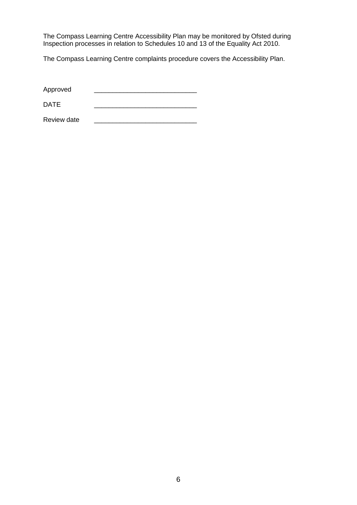The Compass Learning Centre Accessibility Plan may be monitored by Ofsted during Inspection processes in relation to Schedules 10 and 13 of the Equality Act 2010.

The Compass Learning Centre complaints procedure covers the Accessibility Plan.

DATE \_\_\_\_\_\_\_\_\_\_\_\_\_\_\_\_\_\_\_\_\_\_\_\_\_\_\_\_

Review date \_\_\_\_\_\_\_\_\_\_\_\_\_\_\_\_\_\_\_\_\_\_\_\_\_\_\_\_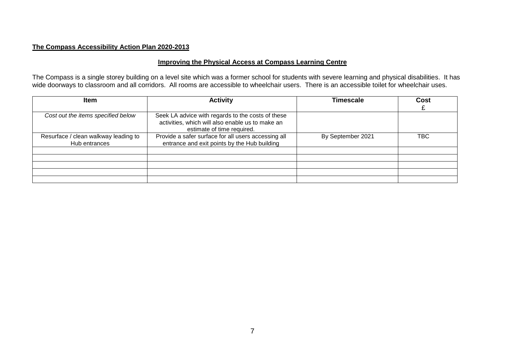## **The Compass Accessibility Action Plan 2020-2013**

## **Improving the Physical Access at Compass Learning Centre**

The Compass is a single storey building on a level site which was a former school for students with severe learning and physical disabilities. It has wide doorways to classroom and all corridors. All rooms are accessible to wheelchair users. There is an accessible toilet for wheelchair uses.

| <b>Item</b>                                           | <b>Activity</b>                                                                                                                     | Timescale         | Cost       |
|-------------------------------------------------------|-------------------------------------------------------------------------------------------------------------------------------------|-------------------|------------|
| Cost out the items specified below                    | Seek LA advice with regards to the costs of these<br>activities, which will also enable us to make an<br>estimate of time required. |                   |            |
| Resurface / clean walkway leading to<br>Hub entrances | Provide a safer surface for all users accessing all<br>entrance and exit points by the Hub building                                 | By September 2021 | <b>TBC</b> |
|                                                       |                                                                                                                                     |                   |            |
|                                                       |                                                                                                                                     |                   |            |
|                                                       |                                                                                                                                     |                   |            |
|                                                       |                                                                                                                                     |                   |            |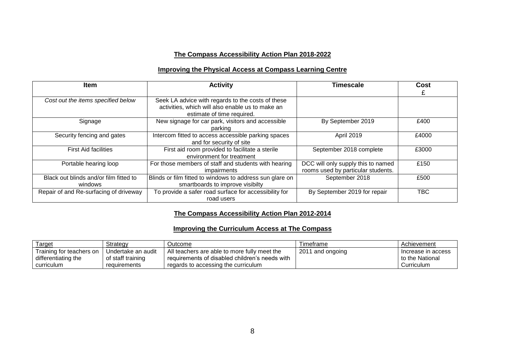## **The Compass Accessibility Action Plan 2018-2022**

## **Improving the Physical Access at Compass Learning Centre**

| <b>Item</b>                                       | <b>Activity</b>                                                                                                                     | Timescale                                                                | Cost  |
|---------------------------------------------------|-------------------------------------------------------------------------------------------------------------------------------------|--------------------------------------------------------------------------|-------|
| Cost out the items specified below                | Seek LA advice with regards to the costs of these<br>activities, which will also enable us to make an<br>estimate of time required. |                                                                          |       |
| Signage                                           | New signage for car park, visitors and accessible<br>parking                                                                        | By September 2019                                                        | £400  |
| Security fencing and gates                        | Intercom fitted to access accessible parking spaces<br>and for security of site                                                     | April 2019                                                               | £4000 |
| <b>First Aid facilities</b>                       | First aid room provided to facilitate a sterile<br>environment for treatment                                                        | September 2018 complete                                                  | £3000 |
| Portable hearing loop                             | For those members of staff and students with hearing<br>impairments                                                                 | DCC will only supply this to named<br>rooms used by particular students. | £150  |
| Black out blinds and/or film fitted to<br>windows | Blinds or film fitted to windows to address sun glare on<br>smartboards to improve visibilty                                        | September 2018                                                           | £500  |
| Repair of and Re-surfacing of driveway            | To provide a safer road surface for accessibility for<br>road users                                                                 | By September 2019 for repair                                             | TBC   |

## **The Compass Accessibility Action Plan 2012-2014**

#### **Improving the Curriculum Access at The Compass**

| <b>Target</b>            | Strategy           | Outcome                                          | Fimetrame        | Achievement        |
|--------------------------|--------------------|--------------------------------------------------|------------------|--------------------|
| Training for teachers on | Undertake an audit | All teachers are able to more fully meet the     | 2011 and ongoing | Increase in access |
| differentiating the      | of staff training  | ' requirements of disabled children's needs with |                  | to the National    |
| curriculum               | requirements       | regards to accessing the curriculum              |                  | Curriculum         |